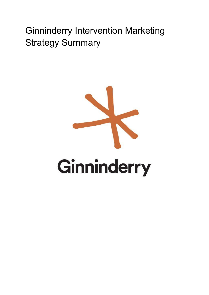# Ginninderry Intervention Marketing Strategy Summary

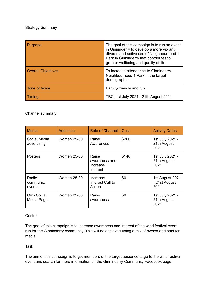#### Strategy Summary

| <b>Purpose</b>            | The goal of this campaign is to run an event<br>in Ginninderry to develop a more vibrant,<br>diverse and active use of Neighbourhood 1<br>Park in Ginninderry that contributes to<br>greater wellbeing and quality of life. |
|---------------------------|-----------------------------------------------------------------------------------------------------------------------------------------------------------------------------------------------------------------------------|
| <b>Overall Objectives</b> | To increase attendance to Ginninderry<br>Neighbourhood 1 Park in the target<br>demographic.                                                                                                                                 |
| Tone of Voice             | Family-friendly and fun                                                                                                                                                                                                     |
| Timing                    | TBC: 1st July 2021 - 21th August 2021                                                                                                                                                                                       |

#### Channel summary

| Media                        | Audience           | <b>Role of Channel</b>                         | Cost  | <b>Activity Dates</b>                    |
|------------------------------|--------------------|------------------------------------------------|-------|------------------------------------------|
| Social Media<br>advertising  | <b>Women 25-30</b> | Raise<br>Awareness                             | \$260 | 1st July 2021 -<br>21th August<br>2021   |
| <b>Posters</b>               | <b>Women 25-30</b> | Raise<br>awareness and<br>Increase<br>Interest | \$140 | 1st July 2021 -<br>21th August<br>2021   |
| Radio<br>community<br>events | <b>Women 25-30</b> | Increase<br>Interest Call to<br>Action         | \$0   | 1st August 2021<br>- 21st August<br>2021 |
| Own Social<br>Media Page     | <b>Women 25-30</b> | Raise<br>awareness                             | \$0   | 1st July 2021 -<br>21th August<br>2021   |

#### **Context**

The goal of this campaign is to increase awareness and interest of the wind festival event run for the Ginninderry community. This will be achieved using a mix of owned and paid for media.

Task

The aim of this campaign is to get members of the target audience to go to the wind festival event and search for more information on the Ginninderry Community Facebook page.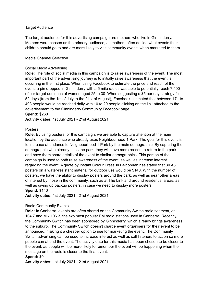#### Target Audience

The target audience for this advertising campaign are mothers who live in Ginninderry. Mothers were chosen as the primary audience, as mothers often decide what events their children should go to and are more likely to visit community events when marketed to them

#### Media Channel Selection

#### Social Media Advertising

**Role:** The role of social media in this campaign is to raise awareness of the event. The most important part of the advertising journey is to initially raise awareness that the event is occurring in the first place. When using Facebook to estimate the price and reach of the event, a pin dropped in Ginninderry with a 5 mile radius was able to potentially reach 7,400 of our target audience of women aged 25 to 30. When suggesting a \$5 per day strategy for 52 days (from the 1st of July to the 21st of August), Facebook estimated that between 171 to 493 people would be reached daily with 10 to 29 people clicking on the link attached to the advertisement to the Ginninderry Community Facebook page.

#### **Spend:** \$260

**Activity dates:** 1st July 2021 - 21st August 2021

#### Posters

**Role:** By using posters for this campaign, we are able to capture attention at the main location by the audience who already uses Neighbourhood 1 Park. The goal for this event is to increase attendance to Neighbourhood 1 Park by the main demographic. By capturing the demographic who already uses the park, they will have more reason to return to the park and have them share details of the event to similar demographics. This portion of the campaign is used to both raise awareness of the event, as well as increase interest regarding the event. A quote by Instant Colour Press in Belconnen has stated that 30 A3 posters on a water-resistant material for outdoor use would be \$140. With the number of posters, we have the ability to display posters around the park, as well as near other areas of interest by those in the community, such as at The Link and around residential areas, as well as giving up backup posters, in case we need to display more posters **Spend:** \$140

**Activity dates:** 1st July 2021 - 21st August 2021

#### Radio Community Events

**Role:** In Canberra, events are often shared on the Community Switch radio segment, on 104.7 and Mix 106.3, the two most popular FM radio stations used in Canberra. Recently, the Community Switch has been sponsored by Ginninderry, which already brings awareness to the suburb. The Community Switch doesn't charge event organisers for their event to be announced, making it a cheaper option to use for marketing the event. The Community Switch advertising can be used to increase interest as well as call listeners to action so more people can attend the event. The activity date for this media has been chosen to be closer to the event, as people will be more likely to remember the event will be happening when the message on the radio is closer to the final event.

#### **Spend:** \$0

**Activity dates:** 1st July 2021 - 21st August 2021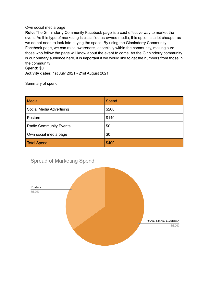#### Own social media page

**Role:** The Ginninderry Community Facebook page is a cost-effective way to market the event. As this type of marketing is classified as owned media, this option is a lot cheaper as we do not need to look into buying the space. By using the Ginninderry Community Facebook page, we can raise awareness, especially within the community, making sure those who follow the page will know about the event to come. As the Ginninderry community is our primary audience here, it is important if we would like to get the numbers from those in the community

### **Spend:** \$0

**Activity dates:** 1st July 2021 - 21st August 2021

Summary of spend

| <b>Media</b>                  | Spend |
|-------------------------------|-------|
| Social Media Advertising      | \$260 |
| Posters                       | \$140 |
| <b>Radio Community Events</b> | \$0   |
| Own social media page         | \$0   |
| <b>Total Spend</b>            | \$400 |

## **Spread of Marketing Spend**